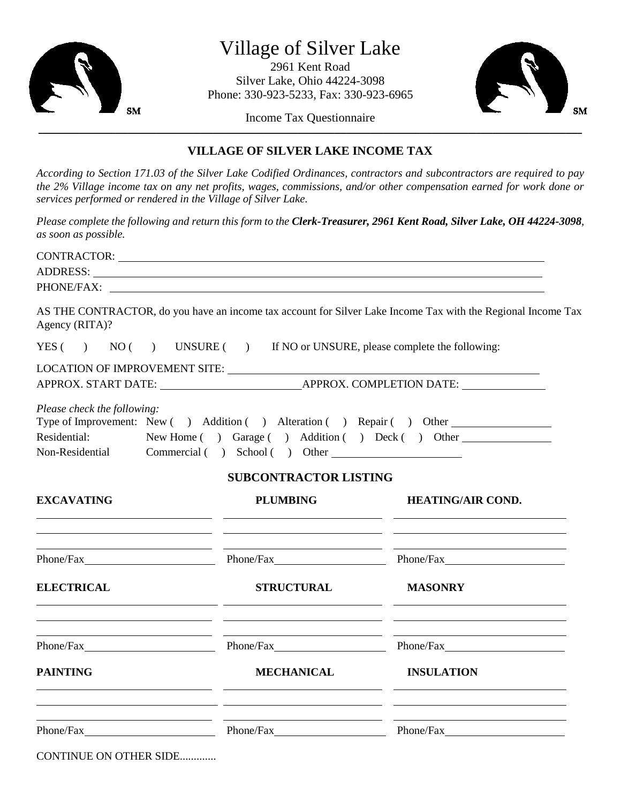

## Village of Silver Lake

2961 Kent Road Silver Lake, Ohio 44224-3098 Phone: 330-923-5233, Fax: 330-923-6965



Income Tax Questionnaire \_\_\_\_\_\_\_\_\_\_\_\_\_\_\_\_\_\_\_\_\_\_\_\_\_\_\_\_\_\_\_\_\_\_\_\_\_\_\_\_\_\_\_\_\_\_\_\_\_\_\_\_\_\_\_\_\_\_\_\_\_\_\_\_\_\_\_\_\_\_\_\_\_\_\_\_\_\_\_\_\_\_\_\_\_\_\_\_\_\_\_\_\_\_\_\_\_\_\_\_\_\_\_\_\_\_\_\_\_\_\_\_\_\_\_\_\_\_\_\_\_\_\_\_\_\_\_\_\_\_\_\_\_\_

## **VILLAGE OF SILVER LAKE INCOME TAX**

*According to Section 171.03 of the Silver Lake Codified Ordinances, contractors and subcontractors are required to pay the 2% Village income tax on any net profits, wages, commissions, and/or other compensation earned for work done or services performed or rendered in the Village of Silver Lake.*

*Please complete the following and return this form to the Clerk-Treasurer, 2961 Kent Road, Silver Lake, OH 44224-3098, as soon as possible.*

|                                             | CONTRACTOR: NATIONAL CONTRACTOR:                                                                                                                                                                                               |                                                                                                              |  |
|---------------------------------------------|--------------------------------------------------------------------------------------------------------------------------------------------------------------------------------------------------------------------------------|--------------------------------------------------------------------------------------------------------------|--|
|                                             | ADDRESS: Latin and the contract of the contract of the contract of the contract of the contract of the contract of the contract of the contract of the contract of the contract of the contract of the contract of the contrac |                                                                                                              |  |
|                                             |                                                                                                                                                                                                                                |                                                                                                              |  |
| Agency (RITA)?                              |                                                                                                                                                                                                                                | AS THE CONTRACTOR, do you have an income tax account for Silver Lake Income Tax with the Regional Income Tax |  |
|                                             | YES $( )$ NO $( )$ UNSURE $( )$ If NO or UNSURE, please complete the following:                                                                                                                                                |                                                                                                              |  |
|                                             |                                                                                                                                                                                                                                |                                                                                                              |  |
|                                             |                                                                                                                                                                                                                                |                                                                                                              |  |
| Please check the following:<br>Residential: | Type of Improvement: New () Addition () Alteration () Repair () Other<br>New Home () Garage () Addition () Deck () Other<br>Non-Residential Commercial () School () Other<br><b>SUBCONTRACTOR LISTING</b>                      |                                                                                                              |  |
| <b>EXCAVATING</b>                           | <b>PLUMBING</b>                                                                                                                                                                                                                | <b>HEATING/AIR COND.</b>                                                                                     |  |
|                                             | <u> 1990 - Andrea Santa Alemania, amerikana amerikana (h. 1980).</u>                                                                                                                                                           |                                                                                                              |  |
| <b>ELECTRICAL</b>                           | <b>STRUCTURAL</b><br><u> 1989 - Johann Harry Harry Harry Harry Harry Harry Harry Harry Harry Harry Harry Harry Harry Harry Harry Harry</u>                                                                                     | <b>MASONRY</b>                                                                                               |  |
|                                             | <u> 1989 - Johann Barn, fransk politik (* 1908)</u><br>Phone/Fax Phone/Fax Phone/Fax Phone/Fax Phone/Fax                                                                                                                       |                                                                                                              |  |
| <b>PAINTING</b>                             | <b>MECHANICAL</b><br><u> 1990 - Jan James James (f. 1980)</u>                                                                                                                                                                  | <b>INSULATION</b>                                                                                            |  |
|                                             | <u> 1989 - Andrea Santa Alemania, amerikana amerikana amerikana amerikana amerikana amerikana amerikana amerikan</u><br>Phone/Fax Phone/Fax Phone/Fax Phone/Fax Phone/Fax                                                      |                                                                                                              |  |
| CONTINUE ON OTHER SIDE                      |                                                                                                                                                                                                                                |                                                                                                              |  |